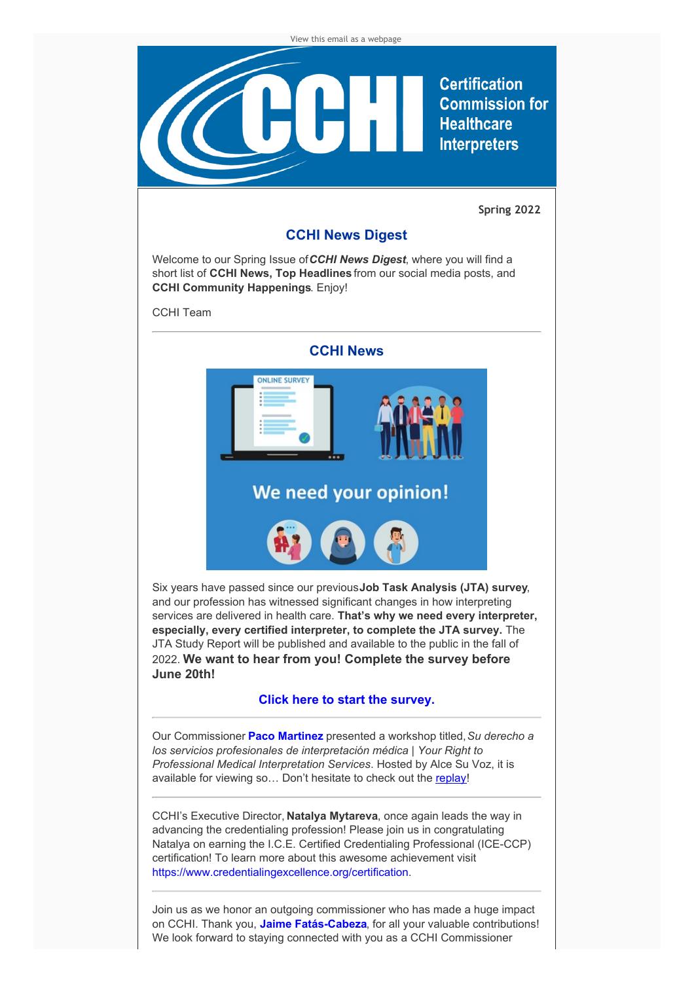

CCHI's Executive Director, **Natalya Mytareva**, once again leads the way in advancing the credentialing profession! Please join us in congratulating Natalya on earning the I.C.E. Certified Credentialing Professional (ICE-CCP) certification! To learn more about this awesome achievement visit <https://www.credentialingexcellence.org/certification>.

Join us as we honor an outgoing commissioner who has made a huge impact on CCHI. Thank you, **Jaime [Fatás-Cabeza](https://jfatas.faculty.arizona.edu/content/welcome)**, for all your valuable contributions! We look forward to staying connected with you as a CCHI Commissioner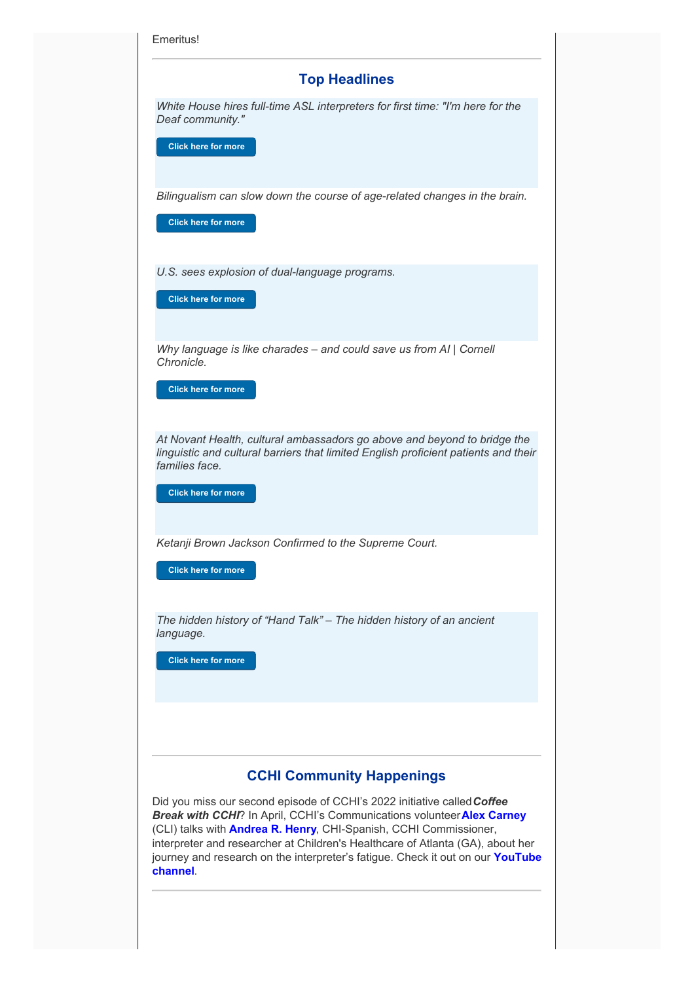| <b>Top Headlines</b>                                                                                                                                                                                                                                                                                                                                                                                           |
|----------------------------------------------------------------------------------------------------------------------------------------------------------------------------------------------------------------------------------------------------------------------------------------------------------------------------------------------------------------------------------------------------------------|
| White House hires full-time ASL interpreters for first time: "I'm here for the<br>Deaf community."<br><b>Click here for more</b>                                                                                                                                                                                                                                                                               |
| Bilingualism can slow down the course of age-related changes in the brain.<br><b>Click here for more</b>                                                                                                                                                                                                                                                                                                       |
| U.S. sees explosion of dual-language programs.<br><b>Click here for more</b>                                                                                                                                                                                                                                                                                                                                   |
| Why language is like charades - and could save us from AI   Cornell<br>Chronicle.<br><b>Click here for more</b>                                                                                                                                                                                                                                                                                                |
| At Novant Health, cultural ambassadors go above and beyond to bridge the<br>linguistic and cultural barriers that limited English proficient patients and their<br>families face.<br><b>Click here for more</b>                                                                                                                                                                                                |
| Ketanji Brown Jackson Confirmed to the Supreme Court.<br><b>Click here for more</b>                                                                                                                                                                                                                                                                                                                            |
| The hidden history of "Hand Talk" - The hidden history of an ancient<br>language.<br><b>Click here for more</b>                                                                                                                                                                                                                                                                                                |
| <b>CCHI Community Happenings</b>                                                                                                                                                                                                                                                                                                                                                                               |
| Did you miss our second episode of CCHI's 2022 initiative called Coffee<br>Break with CCHI? In April, CCHI's Communications volunteer Alex Carney<br>(CLI) talks with <b>Andrea R. Henry</b> , CHI-Spanish, CCHI Commissioner,<br>interpreter and researcher at Children's Healthcare of Atlanta (GA), about her<br>journey and research on the interpreter's fatigue. Check it out on our YouTube<br>channel. |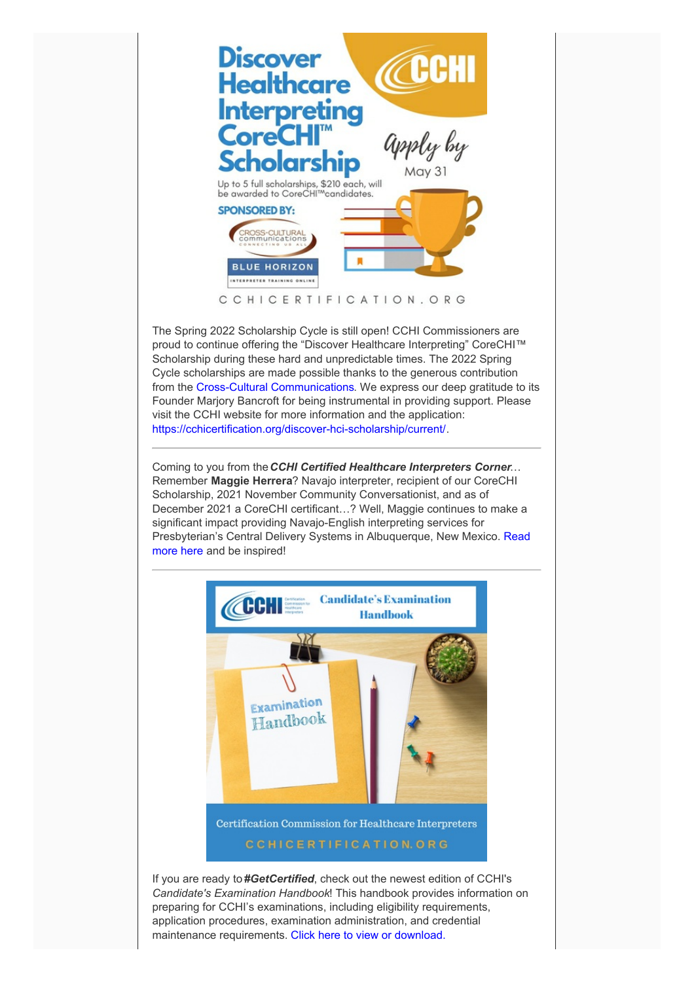

The Spring 2022 Scholarship Cycle is still open! CCHI Commissioners are proud to continue offering the "Discover Healthcare Interpreting" CoreCHI™ Scholarship during these hard and unpredictable times. The 2022 Spring Cycle scholarships are made possible thanks to the generous contribution from the Cross-Cultural [Communications](https://www.cultureandlanguage.net/trainings). We express our deep gratitude to its Founder Marjory Bancroft for being instrumental in providing support. Please visit the CCHI website for more information and the application: <https://cchicertification.org/discover-hci-scholarship/current/>.

Coming to you from the*CCHI Certified Healthcare Interpreters Corner*… Remember **Maggie Herrera**? Navajo interpreter, recipient of our CoreCHI Scholarship, 2021 November Community Conversationist, and as of December 2021 a CoreCHI certificant…? Well, Maggie continues to make a significant impact providing Navajo-English interpreting services for [Presbyterian's](https://phsinternalcommunications.us.newsweaver.com/1tfkdh2bh9/ffkfu24pjvh1osh1n1bsc7?lang=en&a=2&p=10180913&t=831743) Central Delivery Systems in Albuquerque, New Mexico. Read more here and be inspired!



If you are ready to *#GetCertified*, check out the newest edition of CCHI's *Candidate's Examination Handbook*! This handbook provides information on preparing for CCHI's examinations, including eligibility requirements, application procedures, examination administration, and credential maintenance requirements. Click here to view or [download.](https://cchicertification.org/uploads/CCHI_Candidate_Examination_Handbook.pdf)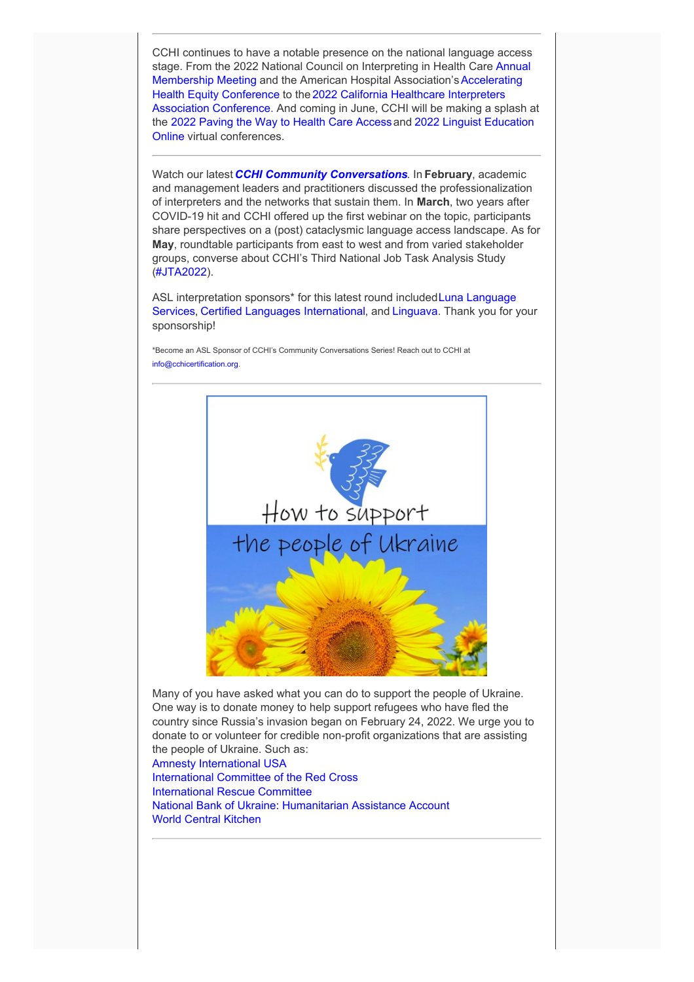CCHI continues to have a notable presence on the national language access stage. From the 2022 National Council on Interpreting in Health Care Annual Membership Meeting and the American Hospital Association's Accelerating Health Equity Conference to the 2022 California Healthcare Interpreters Association [Conference.](https://chiaonline.org/2022Program) And coming in June, CCHI will be making a splash at the 2022 [Paving](http://events.r20.constantcontact.com/register/event?oeidk=a07ej6m87kb48fdf1fa&llr=bp7xtbyab) the Way to Health Care Accessand 2022 Linguist Education Online virtual [conferences.](https://linguisteducationonline.com/leo-5th-conference/)

Watch our latest *CCHI Community [Conversations](https://www.youtube.com/playlist?list=PL5NjLsBMjDp8qfx4om639ZmlkQ-8e5KTY)*. In **February**, academic and management leaders and practitioners discussed the professionalization of interpreters and the networks that sustain them. In **March**, two years after COVID-19 hit and CCHI offered up the first webinar on the topic, participants share perspectives on a (post) cataclysmic language access landscape. As for **May**, roundtable participants from east to west and from varied stakeholder groups, converse about CCHI's Third National Job Task Analysis Study ([#JTA2022](https://cchicertification.org/jta2022/)).

ASL interpretation sponsors<sup>\*</sup> for this latest round included Luna Language Services, Certified Languages [International,](https://certifiedlanguages.com/) and [Linguava](https://linguava.com/). Thank you for your sponsorship!

\*Become an ASL Sponsor of CCHI's Community Conversations Series! Reach out to CCHI at [info@cchicertification.org](mailto:info@cchicertification.org).



Many of you have asked what you can do to support the people of Ukraine. One way is to donate money to help support refugees who have fled the country since Russia's invasion began on February 24, 2022. We urge you to donate to or volunteer for credible non-profit organizations that are assisting the people of Ukraine. Such as:

Amnesty [International](https://donate.amnestyusa.org/page/92978/donate/1?ea.tracking.id=W22XXWDEVR0HP&supporter.appealCode=W22XXWDEVR0HP&en_og_source=W22XXWDEVR0HP) USA [International](https://www.icrc.org/en/where-we-work/europe-central-asia/ukraine?fbclid=IwAR1gFBXVERi6gJ8qX2ncrEK7CKBxBlsVdxzRJVol7lVb4kOaWH697wEF6v8) Committee of the Red Cross [International](https://help.rescue.org/donate/ukraine-web?initialms=ws_modl_fy22_ukraine_mmus&ms=ws_modl_fy22_ukraine_mmus) Rescue Committee National Bank of Ukraine: [Humanitarian](https://bank.gov.ua/en/about/humanitarian-aid-to-ukraine) Assistance Account World Central [Kitchen](https://wck.org/news/chefs-for-ukraine)